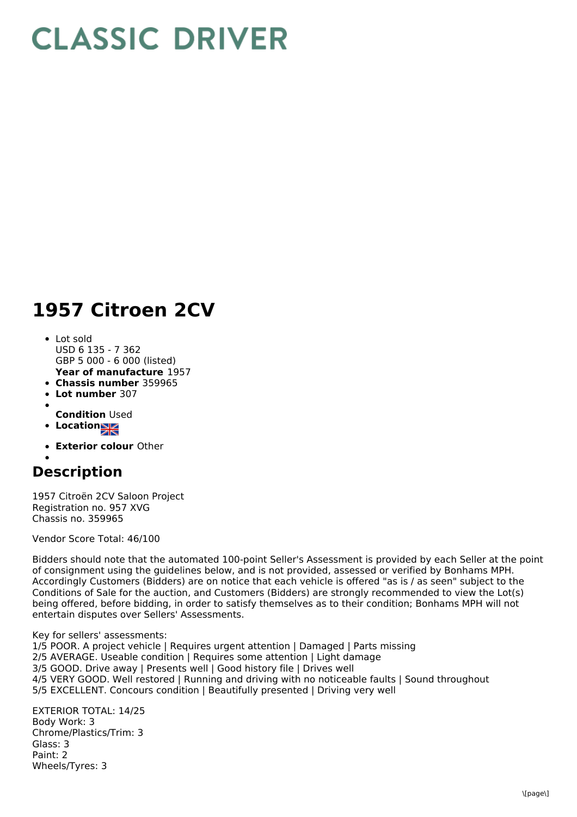## **CLASSIC DRIVER**

## **1957 Citroen 2CV**

- **Year of manufacture** 1957 Lot sold USD 6 135 - 7 362 GBP 5 000 - 6 000 (listed)
- **Chassis number** 359965
- **Lot number** 307
- 
- **Condition** Used
- **Location**
- **Exterior colour** Other

## **Description**

1957 Citroën 2CV Saloon Project Registration no. 957 XVG Chassis no. 359965

Vendor Score Total: 46/100

Bidders should note that the automated 100-point Seller's Assessment is provided by each Seller at the point of consignment using the guidelines below, and is not provided, assessed or verified by Bonhams MPH. Accordingly Customers (Bidders) are on notice that each vehicle is offered "as is / as seen" subject to the Conditions of Sale for the auction, and Customers (Bidders) are strongly recommended to view the Lot(s) being offered, before bidding, in order to satisfy themselves as to their condition; Bonhams MPH will not entertain disputes over Sellers' Assessments.

Key for sellers' assessments:

1/5 POOR. A project vehicle | Requires urgent attention | Damaged | Parts missing 2/5 AVERAGE. Useable condition | Requires some attention | Light damage 3/5 GOOD. Drive away | Presents well | Good history file | Drives well 4/5 VERY GOOD. Well restored | Running and driving with no noticeable faults | Sound throughout 5/5 EXCELLENT. Concours condition | Beautifully presented | Driving very well

EXTERIOR TOTAL: 14/25 Body Work: 3 Chrome/Plastics/Trim: 3 Glass: 3 Paint: 2 Wheels/Tyres: 3